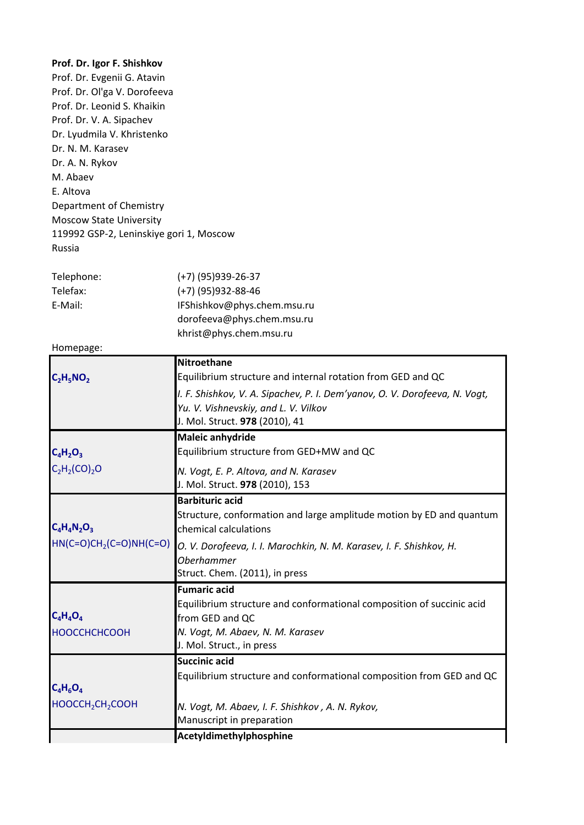| Prof. Dr. Igor F. Shishkov<br>Prof. Dr. Evgenii G. Atavin<br>Prof. Dr. Ol'ga V. Dorofeeva<br>Prof. Dr. Leonid S. Khaikin<br>Prof. Dr. V. A. Sipachev<br>Dr. Lyudmila V. Khristenko<br>Dr. N. M. Karasev<br>Dr. A. N. Rykov<br>M. Abaev<br>E. Altova<br>Department of Chemistry<br><b>Moscow State University</b><br>119992 GSP-2, Leninskiye gori 1, Moscow<br>Russia |                                                                                                                                                                                                                                                       |
|-----------------------------------------------------------------------------------------------------------------------------------------------------------------------------------------------------------------------------------------------------------------------------------------------------------------------------------------------------------------------|-------------------------------------------------------------------------------------------------------------------------------------------------------------------------------------------------------------------------------------------------------|
| Telephone:<br>Telefax:<br>E-Mail:                                                                                                                                                                                                                                                                                                                                     | $(+7)$ (95) 939-26-37<br>$(+7)$ (95) 932-88-46<br>IFShishkov@phys.chem.msu.ru<br>dorofeeva@phys.chem.msu.ru<br>khrist@phys.chem.msu.ru                                                                                                                |
| Homepage:                                                                                                                                                                                                                                                                                                                                                             |                                                                                                                                                                                                                                                       |
| $C_2H_5NO_2$                                                                                                                                                                                                                                                                                                                                                          | Nitroethane<br>Equilibrium structure and internal rotation from GED and QC<br>I. F. Shishkov, V. A. Sipachev, P. I. Dem'yanov, O. V. Dorofeeva, N. Vogt,<br>Yu. V. Vishnevskiy, and L. V. Vilkov<br>J. Mol. Struct. 978 (2010), 41                    |
| $C_4H_2O_3$<br>$C_2H_2(CO)_2O$                                                                                                                                                                                                                                                                                                                                        | <b>Maleic anhydride</b><br>Equilibrium structure from GED+MW and QC<br>N. Vogt, E. P. Altova, and N. Karasev<br>J. Mol. Struct. 978 (2010), 153                                                                                                       |
| $C_4H_4N_2O_3$<br>$HN(C=O)CH2(C=O)NH(C=O)$                                                                                                                                                                                                                                                                                                                            | <b>Barbituric acid</b><br>Structure, conformation and large amplitude motion by ED and quantum<br>chemical calculations<br>O. V. Dorofeeva, I. I. Marochkin, N. M. Karasev, I. F. Shishkov, H.<br><b>Oberhammer</b><br>Struct. Chem. (2011), in press |
| $C_4H_4O_4$<br><b>НООССНСНСООН</b>                                                                                                                                                                                                                                                                                                                                    | <b>Fumaric acid</b><br>Equilibrium structure and conformational composition of succinic acid<br>from GED and QC<br>N. Vogt, M. Abaev, N. M. Karasev<br>J. Mol. Struct., in press                                                                      |
| $C_4H_6O_4$<br>HOOCCH <sub>2</sub> CH <sub>2</sub> COOH                                                                                                                                                                                                                                                                                                               | <b>Succinic acid</b><br>Equilibrium structure and conformational composition from GED and QC<br>N. Vogt, M. Abaev, I. F. Shishkov, A. N. Rykov,<br>Manuscript in preparation<br>Acetyldimethylphosphine                                               |